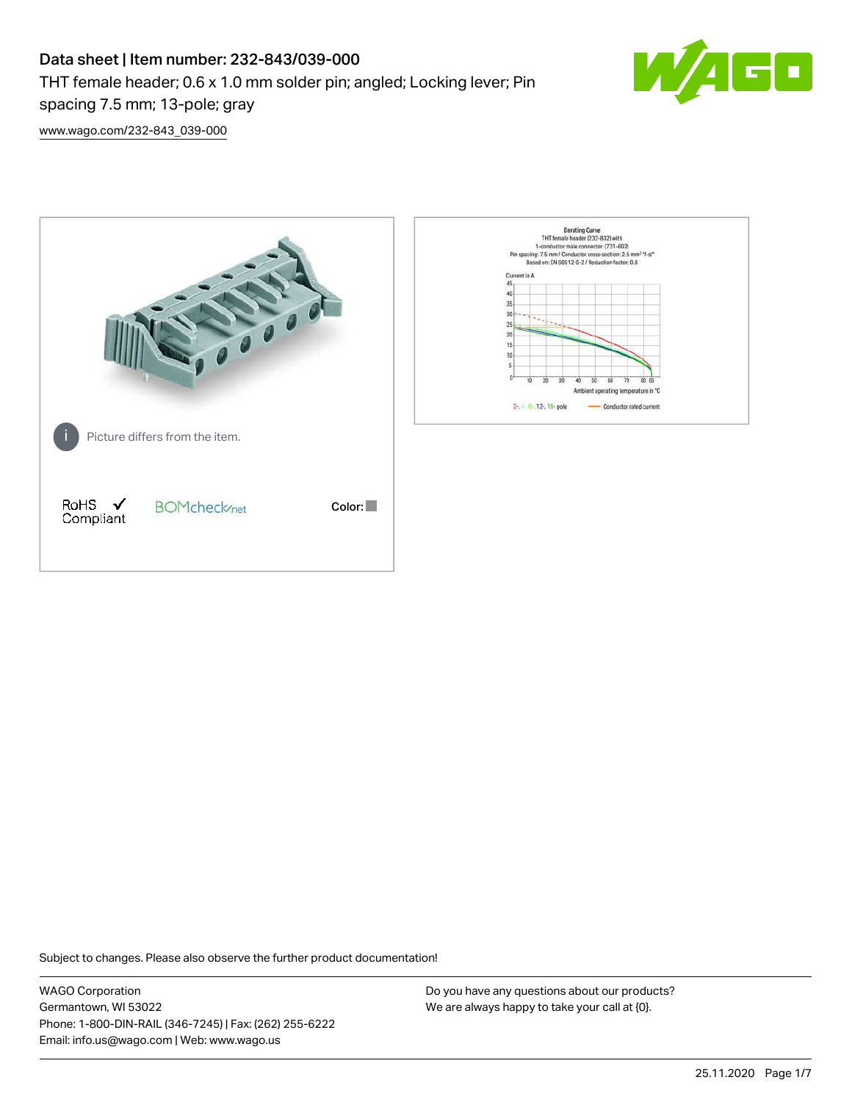# Data sheet | Item number: 232-843/039-000

THT female header; 0.6 x 1.0 mm solder pin; angled; Locking lever; Pin



[www.wago.com/232-843\\_039-000](http://www.wago.com/232-843_039-000)

spacing 7.5 mm; 13-pole; gray



Subject to changes. Please also observe the further product documentation!

WAGO Corporation Germantown, WI 53022 Phone: 1-800-DIN-RAIL (346-7245) | Fax: (262) 255-6222 Email: info.us@wago.com | Web: www.wago.us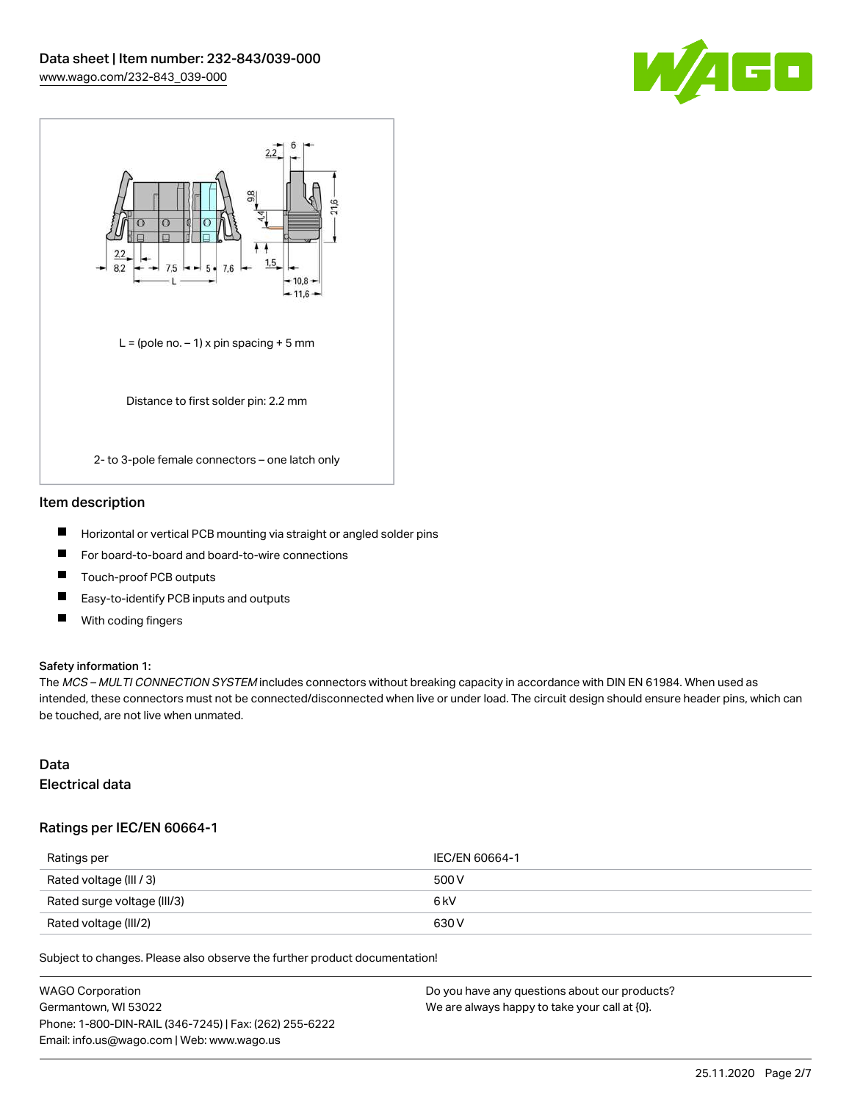



#### Item description

- П Horizontal or vertical PCB mounting via straight or angled solder pins
- $\blacksquare$ For board-to-board and board-to-wire connections
- Touch-proof PCB outputs П
- $\blacksquare$ Easy-to-identify PCB inputs and outputs
- $\blacksquare$ With coding fingers

#### Safety information 1:

The MCS - MULTI CONNECTION SYSTEM includes connectors without breaking capacity in accordance with DIN EN 61984. When used as intended, these connectors must not be connected/disconnected when live or under load. The circuit design should ensure header pins, which can be touched, are not live when unmated.

#### Data Electrical data

## Ratings per IEC/EN 60664-1

| Ratings per                 | IEC/EN 60664-1   |
|-----------------------------|------------------|
| Rated voltage (III / 3)     | 500 V            |
| Rated surge voltage (III/3) | 6 <sub>k</sub> V |
| Rated voltage (III/2)       | 630 V            |

Subject to changes. Please also observe the further product documentation!

| <b>WAGO Corporation</b>                                | Do you have any questions about our products? |
|--------------------------------------------------------|-----------------------------------------------|
| Germantown, WI 53022                                   | We are always happy to take your call at {0}. |
| Phone: 1-800-DIN-RAIL (346-7245)   Fax: (262) 255-6222 |                                               |
| Email: info.us@wago.com   Web: www.wago.us             |                                               |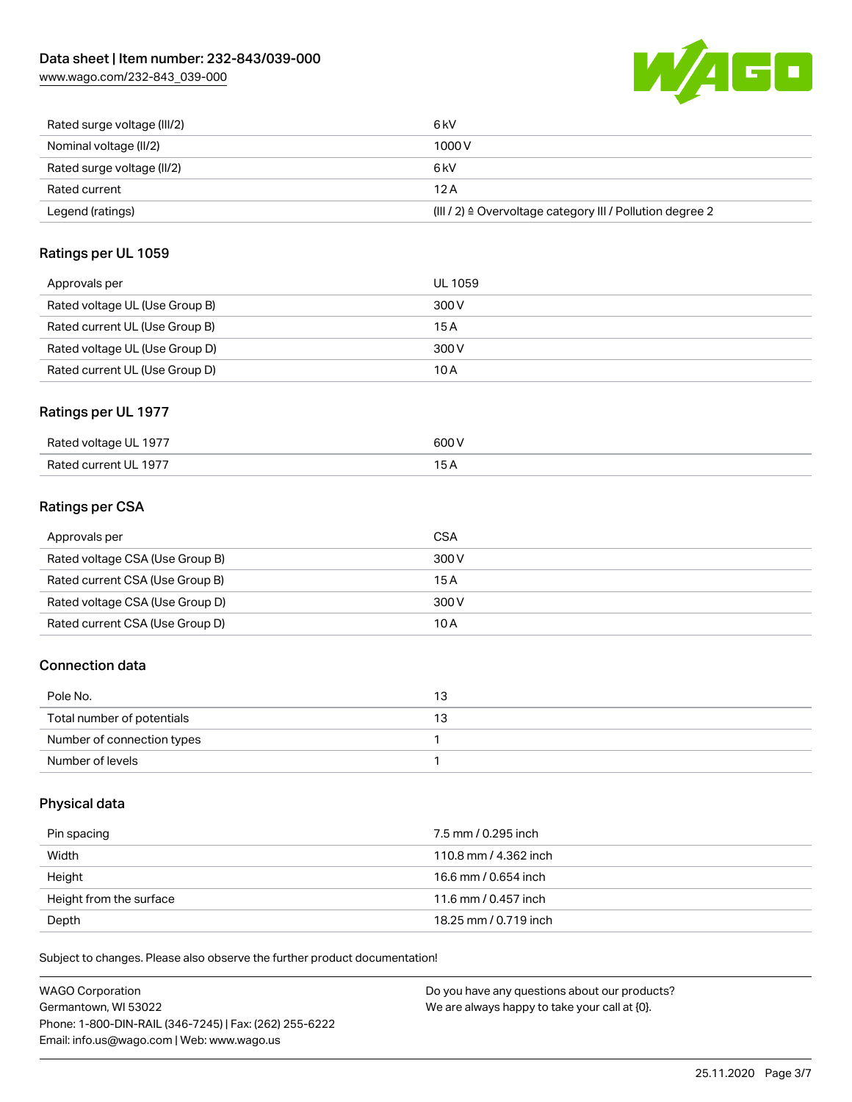[www.wago.com/232-843\\_039-000](http://www.wago.com/232-843_039-000)



| Rated surge voltage (III/2) | 6 kV                                                      |
|-----------------------------|-----------------------------------------------------------|
| Nominal voltage (II/2)      | 1000 V                                                    |
| Rated surge voltage (II/2)  | 6 kV                                                      |
| Rated current               | 12 A                                                      |
| Legend (ratings)            | (III / 2) ≙ Overvoltage category III / Pollution degree 2 |

# Ratings per UL 1059

| Approvals per                  | UL 1059 |
|--------------------------------|---------|
| Rated voltage UL (Use Group B) | 300 V   |
| Rated current UL (Use Group B) | 15 A    |
| Rated voltage UL (Use Group D) | 300 V   |
| Rated current UL (Use Group D) | 10 A    |

# Ratings per UL 1977

| Rated voltage UL 1977  | 600 V                                     |
|------------------------|-------------------------------------------|
| Rated current III 1977 | $\sim$ $\sim$ $\sim$ $\sim$ $\sim$ $\sim$ |

# Ratings per CSA

| Approvals per                   | CSA   |
|---------------------------------|-------|
| Rated voltage CSA (Use Group B) | 300 V |
| Rated current CSA (Use Group B) | 15 A  |
| Rated voltage CSA (Use Group D) | 300 V |
| Rated current CSA (Use Group D) | 10 A  |

# Connection data

| Pole No.                   | 13 |
|----------------------------|----|
| Total number of potentials | З  |
| Number of connection types |    |
| Number of levels           |    |

# Physical data

| Pin spacing             | 7.5 mm / 0.295 inch   |
|-------------------------|-----------------------|
| Width                   | 110.8 mm / 4.362 inch |
| Height                  | 16.6 mm / 0.654 inch  |
| Height from the surface | 11.6 mm / 0.457 inch  |
| Depth                   | 18.25 mm / 0.719 inch |

Subject to changes. Please also observe the further product documentation!

| <b>WAGO Corporation</b>                                | Do you have any questions about our products? |
|--------------------------------------------------------|-----------------------------------------------|
| Germantown, WI 53022                                   | We are always happy to take your call at {0}. |
| Phone: 1-800-DIN-RAIL (346-7245)   Fax: (262) 255-6222 |                                               |
| Email: info.us@wago.com   Web: www.wago.us             |                                               |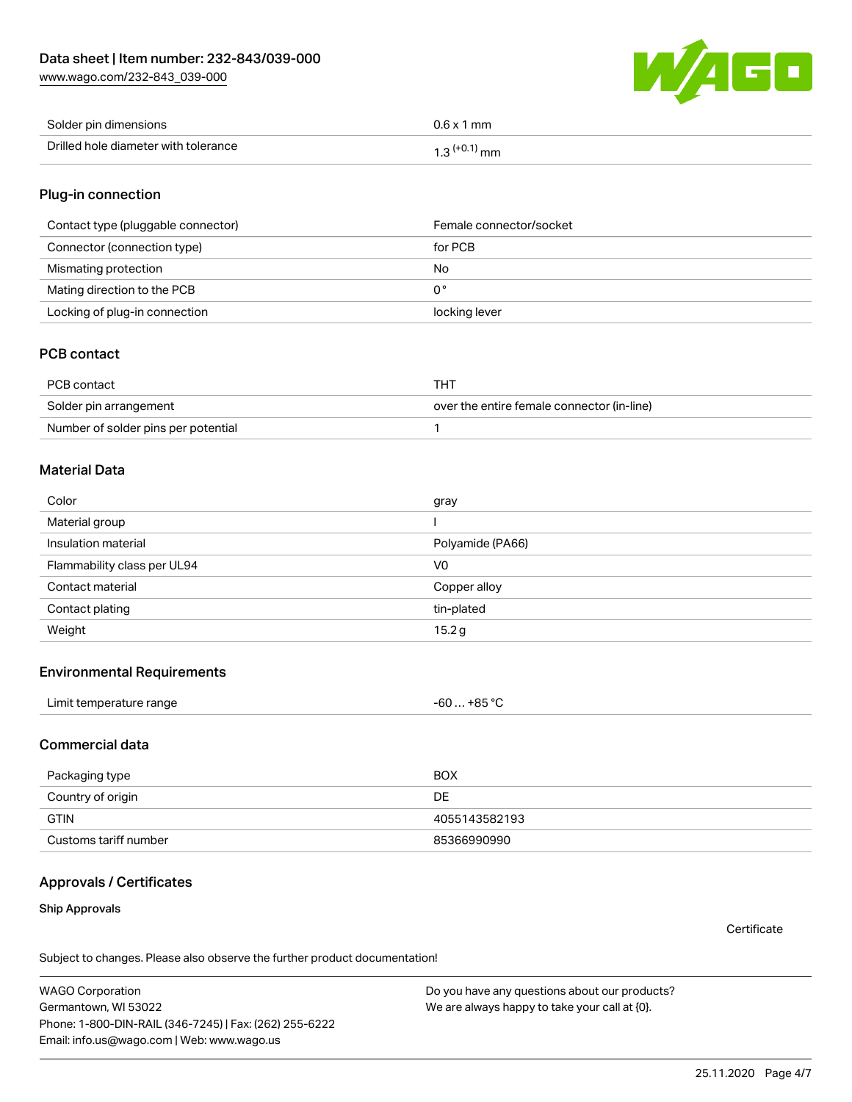[www.wago.com/232-843\\_039-000](http://www.wago.com/232-843_039-000)



| Solder pin dimensions                | $0.6 \times 1$ mm |
|--------------------------------------|-------------------|
| Drilled hole diameter with tolerance | mm<br>ו. ט        |

# Plug-in connection

| Contact type (pluggable connector) | Female connector/socket |
|------------------------------------|-------------------------|
| Connector (connection type)        | for PCB                 |
| Mismating protection               | No                      |
| Mating direction to the PCB        | 0°                      |
| Locking of plug-in connection      | locking lever           |

## PCB contact

| PCB contact                         | <b>THT</b>                                 |
|-------------------------------------|--------------------------------------------|
| Solder pin arrangement              | over the entire female connector (in-line) |
| Number of solder pins per potential |                                            |

## Material Data

| Color                       | gray             |
|-----------------------------|------------------|
| Material group              |                  |
| Insulation material         | Polyamide (PA66) |
| Flammability class per UL94 | V <sub>0</sub>   |
| Contact material            | Copper alloy     |
| Contact plating             | tin-plated       |
| Weight                      | 15.2 g           |

## Environmental Requirements

| Limit temperature range<br>$\blacksquare$ . The contract of the contract of the contract of the contract of the contract of the contract of the contract of the contract of the contract of the contract of the contract of the contract of the contract of the | $-60+85 °C$ |  |
|-----------------------------------------------------------------------------------------------------------------------------------------------------------------------------------------------------------------------------------------------------------------|-------------|--|
|-----------------------------------------------------------------------------------------------------------------------------------------------------------------------------------------------------------------------------------------------------------------|-------------|--|

# Commercial data

| Packaging type        | <b>BOX</b>    |
|-----------------------|---------------|
| Country of origin     | DE            |
| <b>GTIN</b>           | 4055143582193 |
| Customs tariff number | 85366990990   |

# Approvals / Certificates

#### Ship Approvals

**Certificate** 

Subject to changes. Please also observe the further product documentation!

WAGO Corporation Germantown, WI 53022 Phone: 1-800-DIN-RAIL (346-7245) | Fax: (262) 255-6222 Email: info.us@wago.com | Web: www.wago.us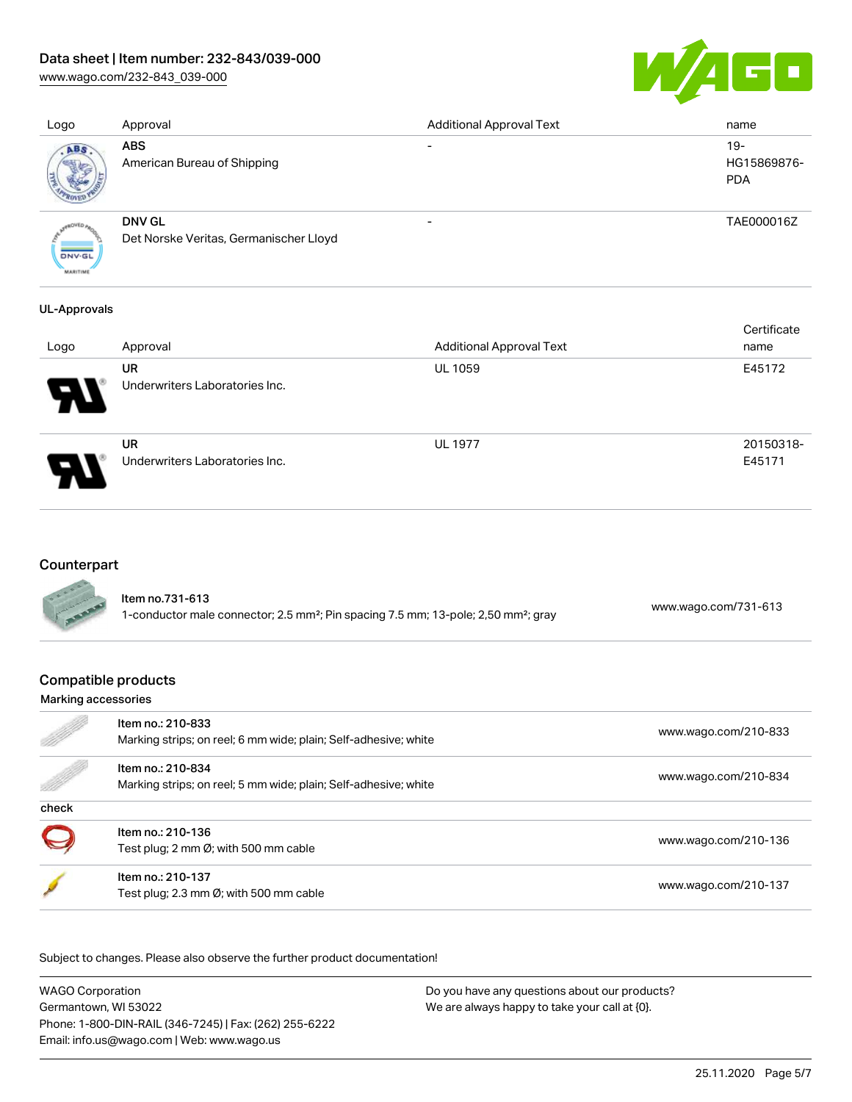# Data sheet | Item number: 232-843/039-000

[www.wago.com/232-843\\_039-000](http://www.wago.com/232-843_039-000)



| Logo          | Approval                                                | <b>Additional Approval Text</b> | name                                |
|---------------|---------------------------------------------------------|---------------------------------|-------------------------------------|
| ABS           | <b>ABS</b><br>American Bureau of Shipping               | $\overline{\phantom{0}}$        | $19 -$<br>HG15869876-<br><b>PDA</b> |
| <b>DNV-GL</b> | <b>DNV GL</b><br>Det Norske Veritas, Germanischer Lloyd |                                 | TAE000016Z                          |

#### UL-Approvals

**MARITIME** 

| Logo                       | Approval                                    | <b>Additional Approval Text</b> | Certificate<br>name |
|----------------------------|---------------------------------------------|---------------------------------|---------------------|
| $\boldsymbol{\mathcal{A}}$ | UR<br>Underwriters Laboratories Inc.        | <b>UL 1059</b>                  | E45172              |
| Э.                         | <b>UR</b><br>Underwriters Laboratories Inc. | <b>UL 1977</b>                  | 20150318-<br>E45171 |

# Counterpart

| ltem no.731-613                                                                                            | www.wago.com/731-613 |
|------------------------------------------------------------------------------------------------------------|----------------------|
| 1-conductor male connector; 2.5 mm <sup>2</sup> ; Pin spacing 7.5 mm; 13-pole; 2,50 mm <sup>2</sup> ; gray |                      |

#### Compatible products

#### Marking accessories

|       | Item no.: 210-833<br>Marking strips; on reel; 6 mm wide; plain; Self-adhesive; white | www.wago.com/210-833 |
|-------|--------------------------------------------------------------------------------------|----------------------|
|       | Item no.: 210-834<br>Marking strips; on reel; 5 mm wide; plain; Self-adhesive; white | www.wago.com/210-834 |
| check |                                                                                      |                      |
|       | Item no.: 210-136<br>Test plug; 2 mm $\varnothing$ ; with 500 mm cable               | www.wago.com/210-136 |
|       | Item no.: 210-137<br>Test plug; 2.3 mm Ø; with 500 mm cable                          | www.wago.com/210-137 |

Subject to changes. Please also observe the further product documentation!

WAGO Corporation Germantown, WI 53022 Phone: 1-800-DIN-RAIL (346-7245) | Fax: (262) 255-6222 Email: info.us@wago.com | Web: www.wago.us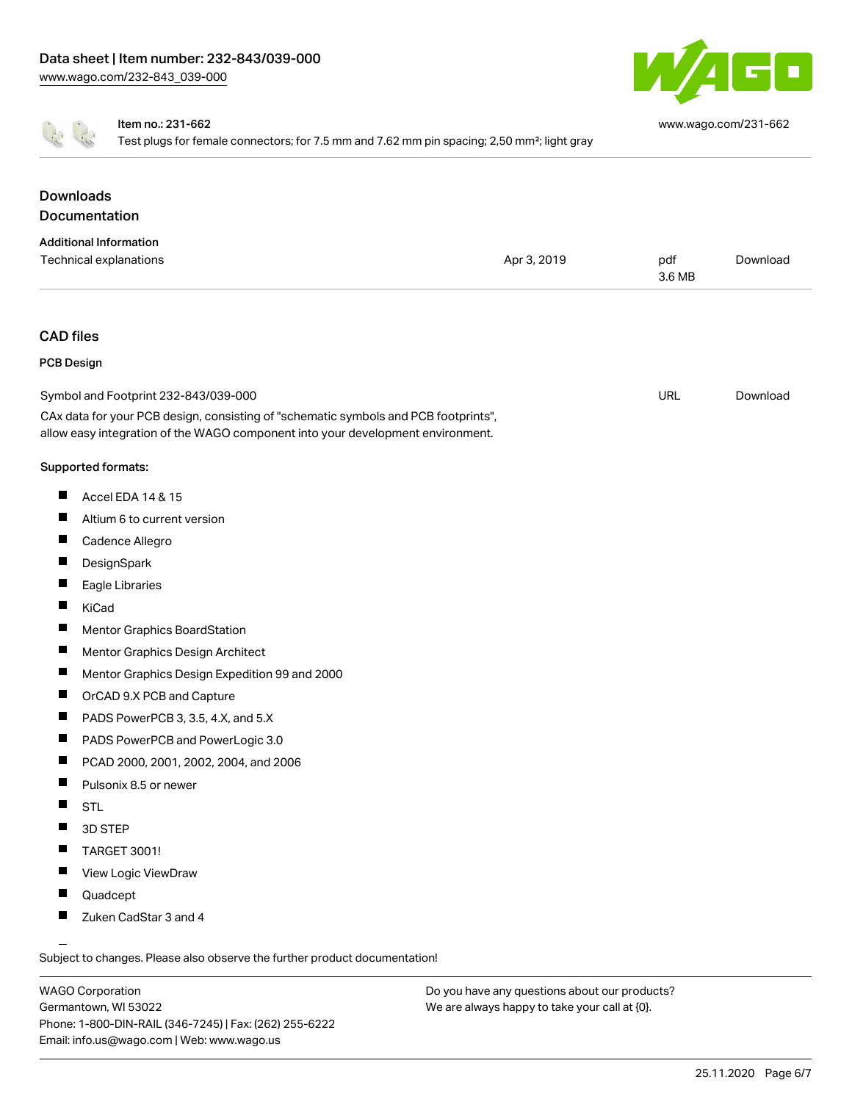



Item no.: 231-662

Test plugs for female connectors; for 7.5 mm and 7.62 mm pin spacing; 2,50 mm²; light gray

[www.wago.com/231-662](http://www.wago.com/231-662)

#### Downloads Documentation Additional Information Technical explanations and political explanations and political explanations and political explanations and political explanations and political explanations and political explanations and political explanations and politi [Download](https://www.wago.com/us/d/1435602) 3.6 MB CAD files PCB Design URL [Download](https://www.wago.com/us/d/UltraLibrarian_URLS_232-843_039-000)Symbol and Footprint 232-843/039-000 CAx data for your PCB design, consisting of "schematic symbols and PCB footprints", allow easy integration of the WAGO component into your development environment. Supported formats:  $\blacksquare$ Accel EDA 14 & 15 П Altium 6 to current version  $\blacksquare$ Cadence Allegro П **DesignSpark** П Eagle Libraries  $\blacksquare$ KiCad  $\blacksquare$ Mentor Graphics BoardStation  $\blacksquare$ Mentor Graphics Design Architect  $\blacksquare$ Mentor Graphics Design Expedition 99 and 2000  $\blacksquare$ OrCAD 9.X PCB and Capture П PADS PowerPCB 3, 3.5, 4.X, and 5.X  $\blacksquare$ PADS PowerPCB and PowerLogic 3.0  $\blacksquare$ PCAD 2000, 2001, 2002, 2004, and 2006  $\blacksquare$ Pulsonix 8.5 or newer  $\blacksquare$ STL  $\blacksquare$ 3D STEP  $\blacksquare$ TARGET 3001! П View Logic ViewDraw  $\blacksquare$ Quadcept  $\blacksquare$ Zuken CadStar 3 and 4 Subject to changes. Please also observe the further product documentation!

WAGO Corporation Germantown, WI 53022 Phone: 1-800-DIN-RAIL (346-7245) | Fax: (262) 255-6222 Email: info.us@wago.com | Web: www.wago.us